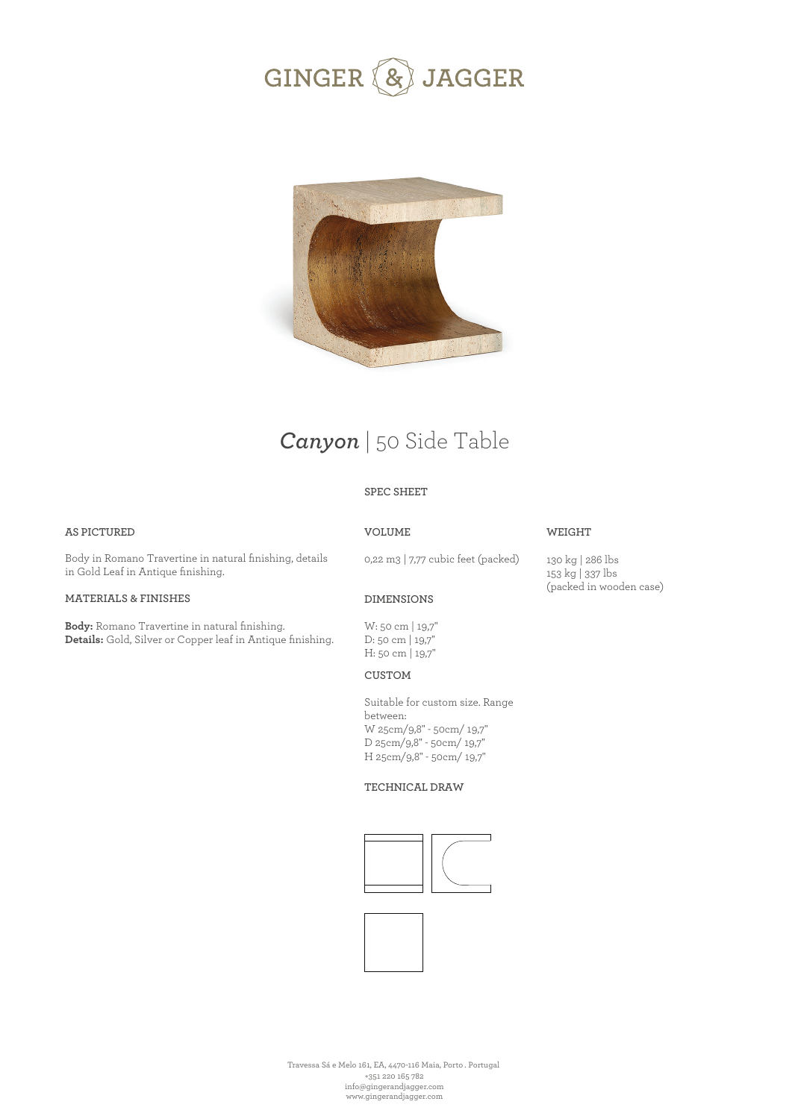



# *Canyon* | 50 Side Table

### **SPEC SHEET**

### **AS PICTURED**

**VOLUME**

### **WEIGHT**

Body in Romano Travertine in natural finishing, details in Gold Leaf in Antique finishing.

### **MATERIALS & FINISHES**

**Body:** Romano Travertine in natural finishing. **Details:** Gold, Silver or Copper leaf in Antique finishing. 0,22 m3 | 7,77 cubic feet (packed)

130 kg | 286 lbs 153 kg | 337 lbs (packed in wooden case)

### **DIMENSIONS**

W: 50 cm | 19,7'' D: 50 cm | 19,7'' H: 50 cm | 19,7''

**CUSTOM** 

Suitable for custom size. Range between: W 25cm/9,8" - 50cm/ 19,7" D 25cm/9,8" - 50cm/ 19,7" H 25cm/9,8" - 50cm/ 19,7"

#### **TECHNICAL DRAW**